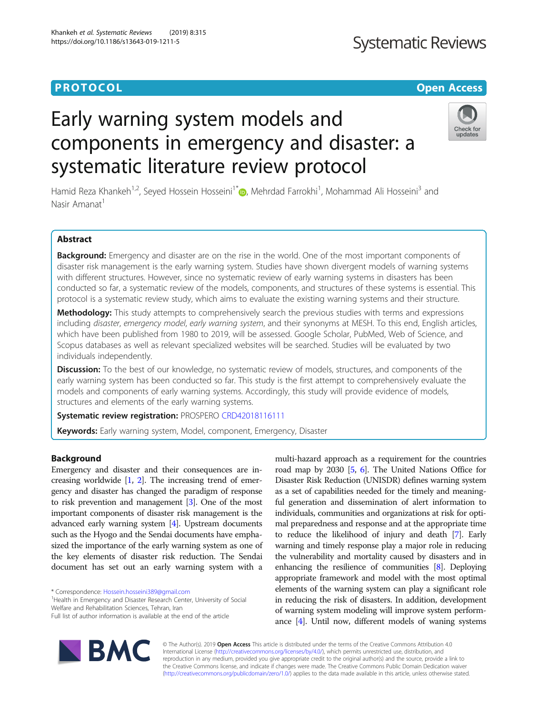# **Systematic Reviews**

# **PROTOCOL CONSUMING THE OPEN ACCESS**

# Early warning system models and components in emergency and disaster: a systematic literature review protocol



Hamid Reza Khankeh<sup>1,2</sup>, Seyed Hossein Hosseini<sup>1[\\*](http://orcid.org/0000-0001-6630-1023)</sup> (**b**, Mehrdad Farrokhi<sup>1</sup>, Mohammad Ali Hosseini<sup>3</sup> and Nasir Amanat<sup>1</sup>

# Abstract

Background: Emergency and disaster are on the rise in the world. One of the most important components of disaster risk management is the early warning system. Studies have shown divergent models of warning systems with different structures. However, since no systematic review of early warning systems in disasters has been conducted so far, a systematic review of the models, components, and structures of these systems is essential. This protocol is a systematic review study, which aims to evaluate the existing warning systems and their structure.

Methodology: This study attempts to comprehensively search the previous studies with terms and expressions including disaster, emergency model, early warning system, and their synonyms at MESH. To this end, English articles, which have been published from 1980 to 2019, will be assessed. Google Scholar, PubMed, Web of Science, and Scopus databases as well as relevant specialized websites will be searched. Studies will be evaluated by two individuals independently.

**Discussion:** To the best of our knowledge, no systematic review of models, structures, and components of the early warning system has been conducted so far. This study is the first attempt to comprehensively evaluate the models and components of early warning systems. Accordingly, this study will provide evidence of models, structures and elements of the early warning systems.

Systematic review registration: PROSPERO [CRD42018116111](https://www.crd.york.ac.uk/PROSPERO/display_record.php?RecordID=116111)

**Keywords:** Early warning system, Model, component, Emergency, Disaster

# Background

Emergency and disaster and their consequences are increasing worldwide  $[1, 2]$  $[1, 2]$  $[1, 2]$ . The increasing trend of emergency and disaster has changed the paradigm of response to risk prevention and management [\[3\]](#page-3-0). One of the most important components of disaster risk management is the advanced early warning system [\[4\]](#page-3-0). Upstream documents such as the Hyogo and the Sendai documents have emphasized the importance of the early warning system as one of the key elements of disaster risk reduction. The Sendai document has set out an early warning system with a

\* Correspondence: [Hossein.hosseini389@gmail.com](mailto:Hossein.hosseini389@gmail.com) <sup>1</sup>

<sup>1</sup>Health in Emergency and Disaster Research Center, University of Social Welfare and Rehabilitation Sciences, Tehran, Iran

multi-hazard approach as a requirement for the countries road map by 2030 [\[5,](#page-3-0) [6\]](#page-3-0). The United Nations Office for Disaster Risk Reduction (UNISDR) defines warning system as a set of capabilities needed for the timely and meaningful generation and dissemination of alert information to individuals, communities and organizations at risk for optimal preparedness and response and at the appropriate time to reduce the likelihood of injury and death [\[7](#page-3-0)]. Early warning and timely response play a major role in reducing the vulnerability and mortality caused by disasters and in enhancing the resilience of communities [\[8\]](#page-3-0). Deploying appropriate framework and model with the most optimal elements of the warning system can play a significant role in reducing the risk of disasters. In addition, development of warning system modeling will improve system performance [\[4\]](#page-3-0). Until now, different models of waning systems



© The Author(s). 2019 Open Access This article is distributed under the terms of the Creative Commons Attribution 4.0 International License [\(http://creativecommons.org/licenses/by/4.0/](http://creativecommons.org/licenses/by/4.0/)), which permits unrestricted use, distribution, and reproduction in any medium, provided you give appropriate credit to the original author(s) and the source, provide a link to the Creative Commons license, and indicate if changes were made. The Creative Commons Public Domain Dedication waiver [\(http://creativecommons.org/publicdomain/zero/1.0/](http://creativecommons.org/publicdomain/zero/1.0/)) applies to the data made available in this article, unless otherwise stated.

Full list of author information is available at the end of the article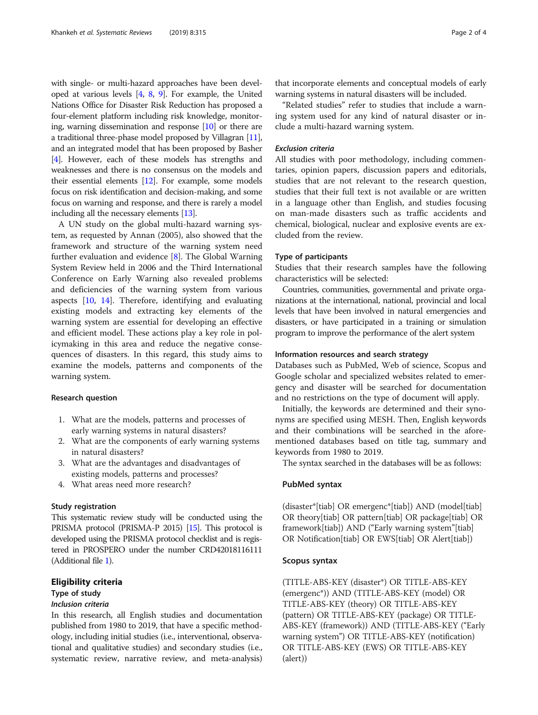with single- or multi-hazard approaches have been developed at various levels [\[4](#page-3-0), [8](#page-3-0), [9](#page-3-0)]. For example, the United Nations Office for Disaster Risk Reduction has proposed a four-element platform including risk knowledge, monitoring, warning dissemination and response [[10](#page-3-0)] or there are a traditional three-phase model proposed by Villagran [[11](#page-3-0)], and an integrated model that has been proposed by Basher [[4](#page-3-0)]. However, each of these models has strengths and weaknesses and there is no consensus on the models and their essential elements [\[12\]](#page-3-0). For example, some models focus on risk identification and decision-making, and some focus on warning and response, and there is rarely a model including all the necessary elements [[13](#page-3-0)].

A UN study on the global multi-hazard warning system, as requested by Annan (2005), also showed that the framework and structure of the warning system need further evaluation and evidence [\[8](#page-3-0)]. The Global Warning System Review held in 2006 and the Third International Conference on Early Warning also revealed problems and deficiencies of the warning system from various aspects [\[10](#page-3-0), [14](#page-3-0)]. Therefore, identifying and evaluating existing models and extracting key elements of the warning system are essential for developing an effective and efficient model. These actions play a key role in policymaking in this area and reduce the negative consequences of disasters. In this regard, this study aims to examine the models, patterns and components of the warning system.

#### Research question

- 1. What are the models, patterns and processes of early warning systems in natural disasters?
- 2. What are the components of early warning systems in natural disasters?
- 3. What are the advantages and disadvantages of existing models, patterns and processes?
- 4. What areas need more research?

### Study registration

This systematic review study will be conducted using the PRISMA protocol (PRISMA-P 2015) [\[15](#page-3-0)]. This protocol is developed using the PRISMA protocol checklist and is registered in PROSPERO under the number CRD42018116111 (Additional file [1\)](#page-2-0).

# Eligibility criteria

# Type of study

# Inclusion criteria

In this research, all English studies and documentation published from 1980 to 2019, that have a specific methodology, including initial studies (i.e., interventional, observational and qualitative studies) and secondary studies (i.e., systematic review, narrative review, and meta-analysis)

that incorporate elements and conceptual models of early warning systems in natural disasters will be included.

"Related studies" refer to studies that include a warning system used for any kind of natural disaster or include a multi-hazard warning system.

# Exclusion criteria

All studies with poor methodology, including commentaries, opinion papers, discussion papers and editorials, studies that are not relevant to the research question, studies that their full text is not available or are written in a language other than English, and studies focusing on man-made disasters such as traffic accidents and chemical, biological, nuclear and explosive events are excluded from the review.

### Type of participants

Studies that their research samples have the following characteristics will be selected:

Countries, communities, governmental and private organizations at the international, national, provincial and local levels that have been involved in natural emergencies and disasters, or have participated in a training or simulation program to improve the performance of the alert system

### Information resources and search strategy

Databases such as PubMed, Web of science, Scopus and Google scholar and specialized websites related to emergency and disaster will be searched for documentation and no restrictions on the type of document will apply.

Initially, the keywords are determined and their synonyms are specified using MESH. Then, English keywords and their combinations will be searched in the aforementioned databases based on title tag, summary and keywords from 1980 to 2019.

The syntax searched in the databases will be as follows:

# PubMed syntax

(disaster\*[tiab] OR emergenc\*[tiab]) AND (model[tiab] OR theory[tiab] OR pattern[tiab] OR package[tiab] OR framework[tiab]) AND ("Early warning system"[tiab] OR Notification[tiab] OR EWS[tiab] OR Alert[tiab])

# Scopus syntax

(TITLE-ABS-KEY (disaster\*) OR TITLE-ABS-KEY (emergenc\*)) AND (TITLE-ABS-KEY (model) OR TITLE-ABS-KEY (theory) OR TITLE-ABS-KEY (pattern) OR TITLE-ABS-KEY (package) OR TITLE-ABS-KEY (framework)) AND (TITLE-ABS-KEY ("Early warning system") OR TITLE-ABS-KEY (notification) OR TITLE-ABS-KEY (EWS) OR TITLE-ABS-KEY (alert))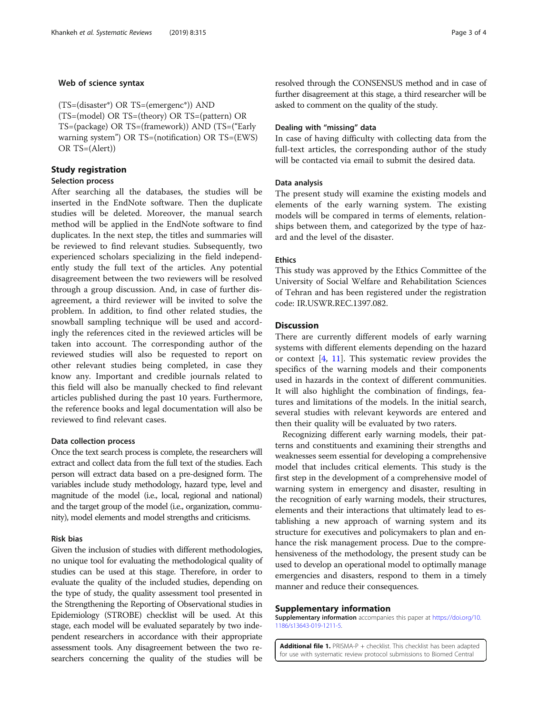# <span id="page-2-0"></span>Web of science syntax

(TS=(disaster\*) OR TS=(emergenc\*)) AND (TS=(model) OR TS=(theory) OR TS=(pattern) OR TS=(package) OR TS=(framework)) AND (TS=("Early warning system") OR TS=(notification) OR TS=(EWS) OR TS=(Alert))

# Study registration

# Selection process

After searching all the databases, the studies will be inserted in the EndNote software. Then the duplicate studies will be deleted. Moreover, the manual search method will be applied in the EndNote software to find duplicates. In the next step, the titles and summaries will be reviewed to find relevant studies. Subsequently, two experienced scholars specializing in the field independently study the full text of the articles. Any potential disagreement between the two reviewers will be resolved through a group discussion. And, in case of further disagreement, a third reviewer will be invited to solve the problem. In addition, to find other related studies, the snowball sampling technique will be used and accordingly the references cited in the reviewed articles will be taken into account. The corresponding author of the reviewed studies will also be requested to report on other relevant studies being completed, in case they know any. Important and credible journals related to this field will also be manually checked to find relevant articles published during the past 10 years. Furthermore, the reference books and legal documentation will also be reviewed to find relevant cases.

## Data collection process

Once the text search process is complete, the researchers will extract and collect data from the full text of the studies. Each person will extract data based on a pre-designed form. The variables include study methodology, hazard type, level and magnitude of the model (i.e., local, regional and national) and the target group of the model (i.e., organization, community), model elements and model strengths and criticisms.

# Risk bias

Given the inclusion of studies with different methodologies, no unique tool for evaluating the methodological quality of studies can be used at this stage. Therefore, in order to evaluate the quality of the included studies, depending on the type of study, the quality assessment tool presented in the Strengthening the Reporting of Observational studies in Epidemiology (STROBE) checklist will be used. At this stage, each model will be evaluated separately by two independent researchers in accordance with their appropriate assessment tools. Any disagreement between the two researchers concerning the quality of the studies will be

resolved through the CONSENSUS method and in case of further disagreement at this stage, a third researcher will be asked to comment on the quality of the study.

# Dealing with "missing" data

In case of having difficulty with collecting data from the full-text articles, the corresponding author of the study will be contacted via email to submit the desired data.

# Data analysis

The present study will examine the existing models and elements of the early warning system. The existing models will be compared in terms of elements, relationships between them, and categorized by the type of hazard and the level of the disaster.

# Ethics

This study was approved by the Ethics Committee of the University of Social Welfare and Rehabilitation Sciences of Tehran and has been registered under the registration code: IR.USWR.REC.1397.082.

# **Discussion**

There are currently different models of early warning systems with different elements depending on the hazard or context [[4,](#page-3-0) [11](#page-3-0)]. This systematic review provides the specifics of the warning models and their components used in hazards in the context of different communities. It will also highlight the combination of findings, features and limitations of the models. In the initial search, several studies with relevant keywords are entered and then their quality will be evaluated by two raters.

Recognizing different early warning models, their patterns and constituents and examining their strengths and weaknesses seem essential for developing a comprehensive model that includes critical elements. This study is the first step in the development of a comprehensive model of warning system in emergency and disaster, resulting in the recognition of early warning models, their structures, elements and their interactions that ultimately lead to establishing a new approach of warning system and its structure for executives and policymakers to plan and enhance the risk management process. Due to the comprehensiveness of the methodology, the present study can be used to develop an operational model to optimally manage emergencies and disasters, respond to them in a timely manner and reduce their consequences.

#### Supplementary information

Supplementary information accompanies this paper at [https://doi.org/10.](https://doi.org/10.1186/s13643-019-1211-5) [1186/s13643-019-1211-5.](https://doi.org/10.1186/s13643-019-1211-5)

Additional file 1. PRISMA-P + checklist. This checklist has been adapted for use with systematic review protocol submissions to Biomed Central